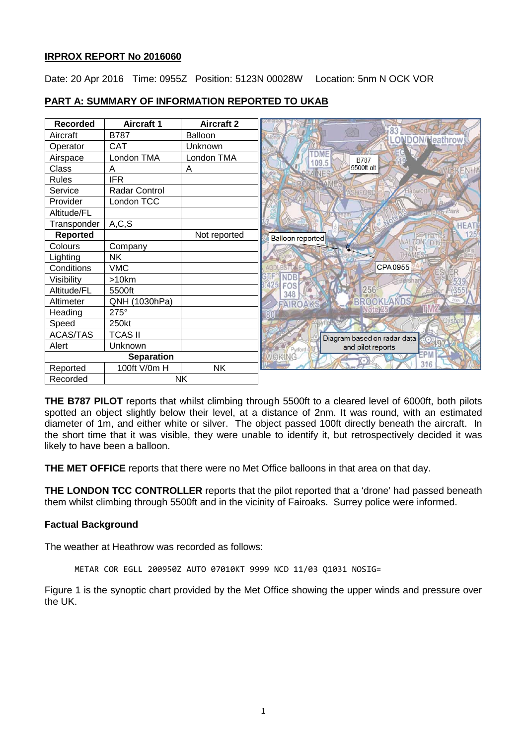# **IRPROX REPORT No 2016060**

Date: 20 Apr 2016 Time: 0955Z Position: 5123N 00028W Location: 5nm N OCK VOR

| <b>Recorded</b>   | <b>Aircraft 1</b> | <b>Aircraft 2</b> |                   |                                    |
|-------------------|-------------------|-------------------|-------------------|------------------------------------|
| Aircraft          | <b>B787</b>       | Balloon           |                   | 83<br>ONDON/Heathrow               |
| Operator          | <b>CAT</b>        | Unknown           |                   |                                    |
| Airspace          | London TMA        | London TMA        |                   | <b>DME</b><br><b>B787</b><br>109.5 |
| Class             | A                 | A                 |                   | 5500ft alt                         |
| <b>Rules</b>      | <b>IFR</b>        |                   |                   |                                    |
| Service           | Radar Control     |                   |                   |                                    |
| Provider          | London TCC        |                   |                   |                                    |
| Altitude/FL       |                   |                   |                   |                                    |
| Transponder       | A, C, S           |                   |                   |                                    |
| Reported          |                   | Not reported      |                   | Balloon reported                   |
| Colours           | Company           |                   |                   | <b>VALTON</b>                      |
| Lighting          | <b>NK</b>         |                   |                   |                                    |
| Conditions        | <b>VMC</b>        |                   |                   | <b>CPA0955</b>                     |
| Visibility        | >10km             |                   | <b>NDB</b><br>425 |                                    |
| Altitude/FL       | 5500ft            |                   | <b>FOS</b><br>348 | 256                                |
| Altimeter         | QNH (1030hPa)     |                   | FAIROAKS          | <b>OOKLANDS</b><br><b>BR</b>       |
| Heading           | 275°              |                   | <b>80</b>         | Note <sub>25</sub>                 |
| Speed             | 250kt             |                   |                   |                                    |
| <b>ACAS/TAS</b>   | <b>TCAS II</b>    |                   |                   | Diagram based on radar data        |
| Alert             | Unknown           |                   | Pyrford           | and pilot reports                  |
| <b>Separation</b> |                   |                   | <b>VOKING</b>     |                                    |
| Reported          | 100ft V/0m H      | <b>NK</b>         |                   |                                    |
| Recorded          | <b>NK</b>         |                   |                   |                                    |

# **PART A: SUMMARY OF INFORMATION REPORTED TO UKAB**

**THE B787 PILOT** reports that whilst climbing through 5500ft to a cleared level of 6000ft, both pilots spotted an object slightly below their level, at a distance of 2nm. It was round, with an estimated diameter of 1m, and either white or silver. The object passed 100ft directly beneath the aircraft. In the short time that it was visible, they were unable to identify it, but retrospectively decided it was likely to have been a balloon.

**THE MET OFFICE** reports that there were no Met Office balloons in that area on that day.

**THE LONDON TCC CONTROLLER** reports that the pilot reported that a 'drone' had passed beneath them whilst climbing through 5500ft and in the vicinity of Fairoaks. Surrey police were informed.

# **Factual Background**

The weather at Heathrow was recorded as follows:

```
METAR COR EGLL 200950Z AUTO 07010KT 9999 NCD 11/03 Q1031 NOSIG=
```
Figure 1 is the synoptic chart provided by the Met Office showing the upper winds and pressure over the UK.